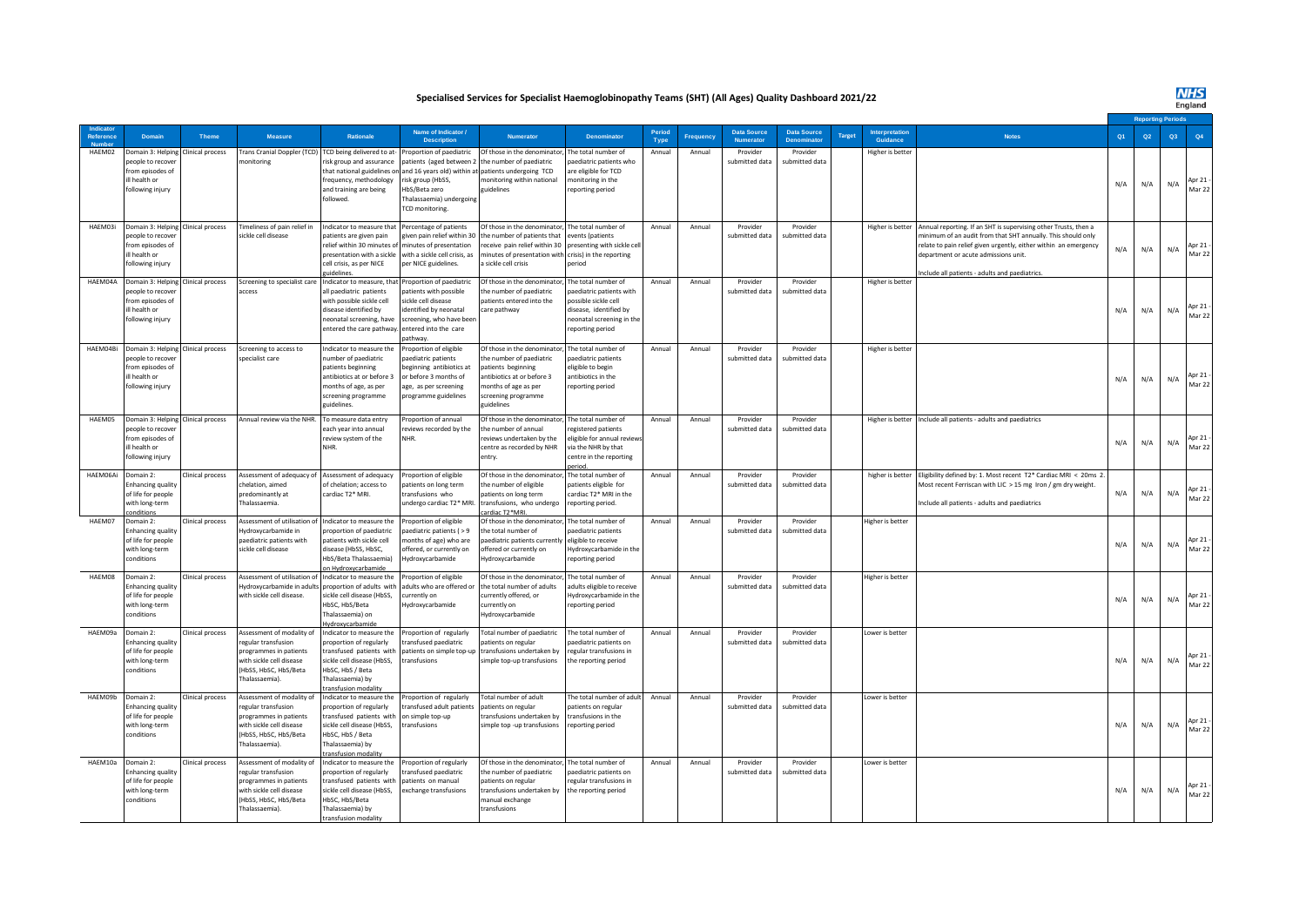**Specialised Services for Specialist Haemoglobinopathy Teams (SHT) (All Ages) Quality Dashboard 2021/22**

|                    |                                                                                                                          |                  |                                                                                                                                                 |                                                                                                                                                                          |                                                                                                                                                                         |                                                                                                                                                                         |                                                                                                                                                 |                |                  |                                       |                                         |              |                            |                                                                                                                                                                                                                                                                                              |     |     | eriod |                    |
|--------------------|--------------------------------------------------------------------------------------------------------------------------|------------------|-------------------------------------------------------------------------------------------------------------------------------------------------|--------------------------------------------------------------------------------------------------------------------------------------------------------------------------|-------------------------------------------------------------------------------------------------------------------------------------------------------------------------|-------------------------------------------------------------------------------------------------------------------------------------------------------------------------|-------------------------------------------------------------------------------------------------------------------------------------------------|----------------|------------------|---------------------------------------|-----------------------------------------|--------------|----------------------------|----------------------------------------------------------------------------------------------------------------------------------------------------------------------------------------------------------------------------------------------------------------------------------------------|-----|-----|-------|--------------------|
| <b>Reference</b>   | Domain                                                                                                                   | Theme            | <b>Measure</b>                                                                                                                                  | <b>Rationale</b>                                                                                                                                                         | Name of Indicator<br><b>Description</b>                                                                                                                                 | <b>Numerator</b>                                                                                                                                                        | <b>Denominato</b>                                                                                                                               | Period<br>Type | <b>Frequency</b> | <b>Data Source</b><br><b>Numerato</b> | <b>Data Source</b><br><b>Denominato</b> | <b>Targe</b> | Interpretation<br>Guidance | <b>Notes</b>                                                                                                                                                                                                                                                                                 | Q1  | Q2  | Q3    | Q4                 |
| HAEM02             | Domain 3: Helping<br>people to recover<br>from episodes of<br>ill health or<br>following injury                          | Clinical process | Frans Cranial Doppler (TCD)<br>nonitoring                                                                                                       | FCD being delivered to at-<br>risk group and assurance<br>that national guidelines on<br>requency, methodology<br>and training are being<br>followed.                    | roportion of paediatric<br>patients (aged between 2<br>and 16 years old) within at<br>risk group (HbSS,<br>HbS/Beta zero<br>Thalassaemia) undergoing<br>TCD monitoring. | Of those in the denominator<br>the number of paediatric<br>patients undergoing TCD<br>monitoring within national<br>guidelines                                          | he total number of<br>aediatric patients who<br>are eligible for TCD<br>monitoring in the<br>reporting period                                   | Annual         | Annual           | Provider<br>submitted data            | Provider<br>submitted data              |              | Higher is better           |                                                                                                                                                                                                                                                                                              | N/A | N/A | N/A   | Apr $21$<br>Mar 22 |
| HAEM03i            | Domain 3: Helping Clinical process<br>people to recover<br>from episodes of<br>ill health or<br>following injury         |                  | Timeliness of pain relief in<br>sickle cell disease                                                                                             | ndicator to measure that<br>patients are given pain<br>elief within 30 minutes of<br>presentation with a sickle<br>cell crisis, as per NICE<br>ideline                   | Percentage of patients<br>given pain relief within 30<br>minutes of presentation<br>with a sickle cell crisis, as<br>per NICE guidelines.                               | Of those in the denominator<br>the number of patients that<br>receive pain relief within 30<br>minutes of presentation with<br>a sickle cell crisis                     | he total number of<br>events (patients<br>presenting with sickle cel<br>crisis) in the reporting<br>period                                      | Annual         | Annual           | Provider<br>submitted data            | Provider<br>submitted data              |              | Higher is better           | Annual reporting. If an SHT is supervising other Trusts, then a<br>minimum of an audit from that SHT annually. This should only<br>relate to pain relief given urgently, either within an emergency<br>department or acute admissions unit.<br>nclude all patients - adults and paediatrics. | N/A | N/A | N/A   | Apr 21<br>Mar 22   |
|                    | HAEM04A Domain 3: Helping Clinical process<br>beople to recover<br>from episodes of<br>ill health or<br>following injury |                  | Screening to specialist care<br>access                                                                                                          | Indicator to measure, that<br>Il paediatric patients<br>rith possible sickle cell<br>isease identified by<br>eonatal screening, have<br>ntered the care pathway          | roportion of paediatric<br>atients with possible<br>sickle cell disease<br>dentified by neonatal<br>screening, who have been<br>entered into the care<br>athway.        | Of those in the denominator<br>the number of paediatric<br>patients entered into the<br>care pathway                                                                    | The total number of<br>aediatric patients with<br>possible sickle cell<br>disease, identified by<br>eonatal screening in the<br>eporting period | Annual         | Annual           | Provider<br>submitted data            | Provider<br>submitted data              |              | Higher is better           |                                                                                                                                                                                                                                                                                              | N/A | N/A | N/A   | Apr 21<br>Mar 22   |
| HAEM04Bi           | Domain 3: Helping<br>people to recover<br>from episodes of<br>ill health or<br>following injury                          | Clinical process | Screening to access to<br>specialist care                                                                                                       | ndicator to measure the<br>umber of paediatric<br>vatients beginning<br>antibiotics at or before 3<br>nonths of age, as per<br>creening programme<br>uidelines.          | roportion of eligible<br>aediatric patients<br>beginning antibiotics at<br>or before 3 months of<br>age, as per screening<br>programme guidelines                       | Of those in the denominato<br>the number of paediatric<br>patients beginning<br>antibiotics at or before 3<br>months of age as per<br>screening programme<br>zuidelines | he total number of<br>paediatric patients<br>eligible to begin<br>antibiotics in the<br>reporting period                                        | Annual         | Annual           | Provider<br>submitted data            | Provider<br>submitted data              |              | Higher is better           |                                                                                                                                                                                                                                                                                              | N/A | N/A | N/A   | Apr 21 -<br>Mar 22 |
| HAEM05             | Domain 3: Helping<br>people to recover<br>from enisodes of<br>ill health or<br>following injury                          | Clinical process | Annual review via the NHR.                                                                                                                      | To measure data entry<br>each vear into annual<br>eview system of the                                                                                                    | roportion of annual<br>eviews recorded by the<br><b>VHR</b>                                                                                                             | Of those in the denominator<br>the number of annual<br>reviews undertaken by the<br>centre as recorded by NHR<br>entrv.                                                 | he total number of<br>egistered patients<br>eligible for annual review<br>via the NHR by that<br>centre in the reporting<br>eriod               | Annual         | Annual           | Provider<br>submitted data            | Provider<br>submitted data              |              |                            | Higher is better Include all patients - adults and paediatrics                                                                                                                                                                                                                               | N/A | N/A | N/A   | Apr 21<br>Mar 22   |
| HAEM06Ai Domain 2: | <b>Enhancing quality</b><br>of life for people<br>with long-term<br>ndition:                                             | Clinical process | Assessment of adequacy of<br>helation, aimed<br>redominantly at<br>halassaemia                                                                  | Assessment of adequacy<br>of chelation; access to<br>ardiac T2* MRI.                                                                                                     | Proportion of eligible<br>patients on long term<br>ransfusions who<br>indergo cardiac T2* MRI                                                                           | Of those in the denominator<br>the number of eligible<br>patients on long term<br>transfusions, who undergo<br>ardiac T2*MRI                                            | The total number of<br>patients eligible for<br>ardiac T2* MRI in the<br>reporting period.                                                      | Annual         | Annual           | Provider<br>submitted data            | Provider<br>submitted data              |              |                            | higher is better Eligibility defined by: 1. Most recent T2* Cardiac MRI < 20ms 2.<br>Most recent Ferriscan with LIC > 15 mg Iron / gm dry weight.<br>Include all patients - adults and paediatrics                                                                                           | N/A | N/A | N/A   | Apr 21 -<br>Mar 22 |
| HAEM07             | Domain 2:<br><b>Enhancing quality</b><br>of life for people<br>with long-term<br>conditions                              | Clinical process | Assessment of utilisation of<br>Hydroxycarbamide in<br>paediatric patients with<br>sickle cell disease                                          | ndicator to measure the<br>roportion of paediatric<br>atients with sickle cell<br>lisease (HbSS, HbSC,<br>HbS/Beta Thalassaemia)<br>n Hydroxycarbamide                   | roportion of eligible<br>aediatric patients (>9<br>nonths of age) who are<br>offered, or currently on<br>Hydroxycarbamide                                               | Of those in the denominator<br>the total number of<br>paediatric patients currentl<br>offered or currently on<br>Hydroxycarbamide                                       | The total number of<br>aediatric patients<br>eligible to receive<br>Hydroxycarbamide in the<br>eporting period                                  | Annua          | Annual           | Provider<br>submitted data            | Provider<br>submitted data              |              | Higher is better           |                                                                                                                                                                                                                                                                                              | N/A | N/A | N/A   | Apr 21 -<br>Mar 22 |
| HAEM08             | Domain 2:<br><b>Enhancing quality</b><br>of life for people<br>with long-term<br>conditions                              | Clinical process | Assessment of utilisation of<br>Hydroxycarbamide in adults<br>with sickle cell disease.                                                         | Indicator to measure the<br>proportion of adults with<br>sickle cell disease (HbSS,<br>HbSC, HbS/Beta<br>halassaemia) on<br>łydroxycarbamide                             | Proportion of eligible<br>adults who are offered o<br>currently on<br><i><b>Hydroxycarbamide</b></i>                                                                    | Of those in the denominato<br>the total number of adults<br>currently offered, or<br>currently on<br>Hydroxycarbamide                                                   | he total number of<br>adults eligible to receive<br>Hydroxycarbamide in the<br>eporting period                                                  | Annua          | Annual           | Provider<br>submitted data            | Provider<br>submitted data              |              | Higher is better           |                                                                                                                                                                                                                                                                                              | N/A | N/A | N/A   | Apr $21$<br>Mar 22 |
| HAEM09a            | Domain 2:<br>Enhancing quality<br>of life for people<br>with long-term<br>conditions                                     | Clinical process | Assessment of modality of<br>egular transfusion<br>programmes in patients<br>with sickle cell disease<br>HbSS, HbSC, HbS/Beta<br>Thalassaemia). | ndicator to measure the<br>proportion of regularly<br>ransfused patients with<br>sickle cell disease (HbSS,<br>HbSC, HbS / Beta<br>halassaemia) by<br>ansfusion modality | roportion of regularly<br>ransfused paediatric<br>patients on simple top-up<br>ransfusions                                                                              | Total number of paediatric<br>patients on regular<br>transfusions undertaken by<br>simple top-up transfusions                                                           | he total number of<br>paediatric patients on<br>egular transfusions in<br>the reporting period                                                  | Annual         | Annual           | Provider<br>submitted data            | Provider<br>submitted data              |              | Lower is better            |                                                                                                                                                                                                                                                                                              | N/A | N/A | N/A   | Apr 21 -<br>Mar 22 |
| HAEM09b            | Domain 2:<br><b>Enhancing quality</b><br>of life for people<br>with long-term<br>conditions                              | Clinical process | Assessment of modality of<br>egular transfusion<br>programmes in patients<br>with sickle cell disease<br>HbSS, HbSC, HbS/Beta<br>Thalassaemia). | ndicator to measure the<br>roportion of regularly<br>ransfused patients with<br>sickle cell disease (HbSS.<br>HbSC, HbS / Beta<br>halassaemia) by<br>ansfusion modality  | Proportion of regularly<br>ransfused adult patients<br>on simple top-up<br>ransfusions                                                                                  | Total number of adult<br>patients on regular<br>transfusions undertaken by<br>simple top -up transfusions                                                               | he total number of adul<br>patients on regular<br>transfusions in the<br>reporting period                                                       | Annual         | Annual           | Provider<br>submitted data            | Provider<br>submitted data              |              | Lower is better            |                                                                                                                                                                                                                                                                                              | N/A | N/A | N/A   | Apr 21 -<br>Mar 22 |
| HAEM10a            | Domain 2:<br><b>Enhancing quality</b><br>of life for people<br>with long-term<br>conditions                              | Clinical process | Assessment of modality of<br>egular transfusion<br>rogrammes in patients<br>with sickle cell disease<br>HbSS, HbSC, HbS/Beta<br>Thalassaemia).  | ndicator to measure the<br>roportion of regularly<br>ransfused patients with<br>ickle cell disease (HbSS,<br>HbSC, HbS/Beta<br>[halassaemia] by<br>ransfusion modality   | roportion of regularly<br>ransfused paediatric<br>patients on manual<br>exchange transfusions                                                                           | Of those in the denominator<br>the number of paediatric<br>patients on regular<br>transfusions undertaken by<br>manual exchange<br>transfusions                         | he total number of<br>paediatric patients on<br>egular transfusions in<br>the reporting period                                                  | Annual         | Annual           | Provider<br>submitted data            | Provider<br>submitted data              |              | Lower is better            |                                                                                                                                                                                                                                                                                              | N/A | N/A | N/A   | Apr 21 -<br>Mar 22 |

**NHS**<br>England